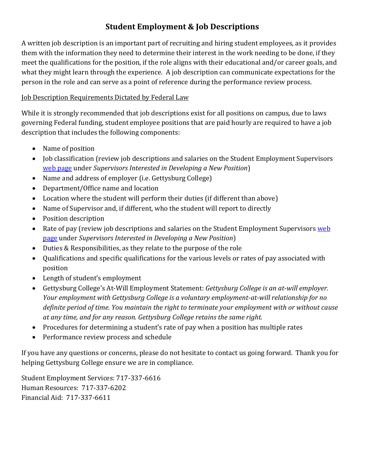# **Student Employment & Job Descriptions**

A written job description is an important part of recruiting and hiring student employees, as it provides them with the information they need to determine their interest in the work needing to be done, if they meet the qualifications for the position, if the role aligns with their educational and/or career goals, and what they might learn through the experience. A job description can communicate expectations for the person in the role and can serve as a point of reference during the performance review process.

### Job Description Requirements Dictated by Federal Law

While it is strongly recommended that job descriptions exist for all positions on campus, due to laws governing Federal funding, student employee positions that are paid hourly are required to have a job description that includes the following components:

- Name of position
- Job classification (review job descriptions and salaries on the Student Employment Supervisors [web page](https://www.gettysburg.edu/offices/center-for-career-engagement/faculty-administrators-staff/student-employment-supervisors/) under *Supervisors Interested in Developing a New Position*)
- Name and address of employer (i.e. Gettysburg College)
- Department/Office name and location
- Location where the student will perform their duties (if different than above)
- Name of Supervisor and, if different, who the student will report to directly
- Position description
- Rate of pay (review job descriptions and salaries on the Student Employment Supervisors web [page](https://www.gettysburg.edu/offices/center-for-career-engagement/faculty-administrators-staff/student-employment-supervisors/) under *Supervisors Interested in Developing a New Position*)
- Duties & Responsibilities, as they relate to the purpose of the role
- Qualifications and specific qualifications for the various levels or rates of pay associated with position
- Length of student's employment
- Gettysburg College's At-Will Employment Statement: *Gettysburg College is an at-will employer. Your employment with Gettysburg College is a voluntary employment-at-will relationship for no definite period of time. You maintain the right to terminate your employment with or without cause at any time, and for any reason. Gettysburg College retains the same right.*
- Procedures for determining a student's rate of pay when a position has multiple rates
- Performance review process and schedule

If you have any questions or concerns, please do not hesitate to contact us going forward. Thank you for helping Gettysburg College ensure we are in compliance.

Student Employment Services: 717-337-6616 Human Resources: 717-337-6202 Financial Aid: 717-337-6611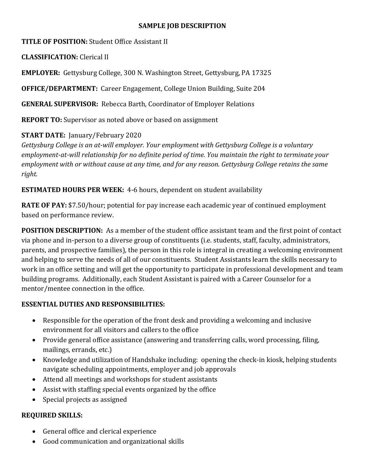#### **SAMPLE JOB DESCRIPTION**

**TITLE OF POSITION:** Student Office Assistant II

**CLASSIFICATION:** Clerical II

**EMPLOYER:** Gettysburg College, 300 N. Washington Street, Gettysburg, PA 17325

**OFFICE/DEPARTMENT:** Career Engagement, College Union Building, Suite 204

**GENERAL SUPERVISOR:** Rebecca Barth, Coordinator of Employer Relations

**REPORT TO:** Supervisor as noted above or based on assignment

#### **START DATE:** January/February 2020

*Gettysburg College is an at-will employer. Your employment with Gettysburg College is a voluntary employment-at-will relationship for no definite period of time. You maintain the right to terminate your employment with or without cause at any time, and for any reason. Gettysburg College retains the same right.*

**ESTIMATED HOURS PER WEEK:** 4-6 hours, dependent on student availability

**RATE OF PAY:** \$7.50/hour; potential for pay increase each academic year of continued employment based on performance review.

**POSITION DESCRIPTION:** As a member of the student office assistant team and the first point of contact via phone and in-person to a diverse group of constituents (i.e. students, staff, faculty, administrators, parents, and prospective families), the person in this role is integral in creating a welcoming environment and helping to serve the needs of all of our constituents. Student Assistants learn the skills necessary to work in an office setting and will get the opportunity to participate in professional development and team building programs. Additionally, each Student Assistant is paired with a Career Counselor for a mentor/mentee connection in the office.

## **ESSENTIAL DUTIES AND RESPONSIBILITIES:**

- Responsible for the operation of the front desk and providing a welcoming and inclusive environment for all visitors and callers to the office
- Provide general office assistance (answering and transferring calls, word processing, filing, mailings, errands, etc.)
- Knowledge and utilization of Handshake including: opening the check-in kiosk, helping students navigate scheduling appointments, employer and job approvals
- Attend all meetings and workshops for student assistants
- Assist with staffing special events organized by the office
- Special projects as assigned

## **REQUIRED SKILLS:**

- General office and clerical experience
- Good communication and organizational skills